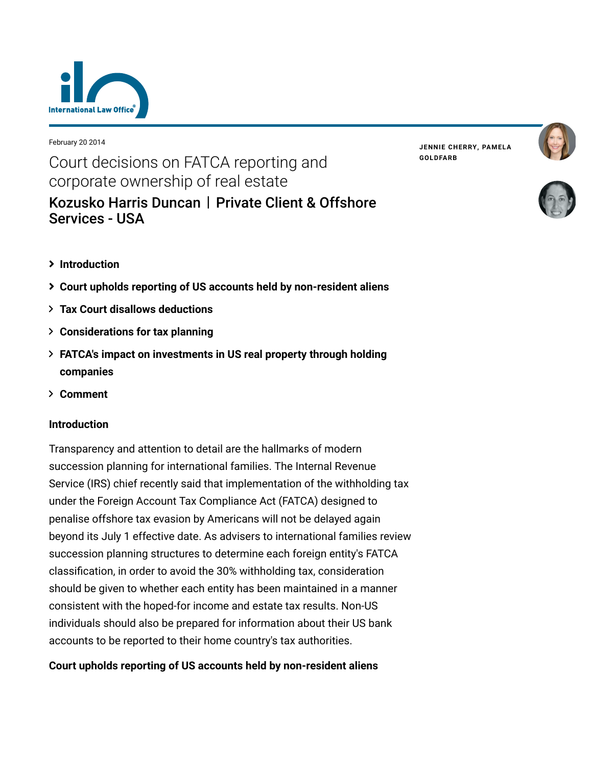

February 20 2014

# Court decisions on FATCA reporting and corporate ownership of real estate [Kozusko Harris Duncan](https://www.lexology.com/contributors/23364) | Private Client & Offshore Services - USA

**JENNIE [CHERRY,](https://www.lexology.com/23364/author/Jennie_Cherry/) PAMELA [GOLDFARB](https://www.lexology.com/23364/author/Pamela_Goldfarb/)**





- **[Introduction](#page-0-0)**
- **[Court upholds reporting of US accounts held by non-resident aliens](#page-0-1)**
- **[Tax Court disallows deductions](#page-1-0)**
- **[Considerations for tax planning](#page-2-0)**
- **[FATCA's impact on investments in US real property through holding](#page-3-0) companies**
- **[Comment](#page-4-0)**

# <span id="page-0-0"></span>**Introduction**

Transparency and attention to detail are the hallmarks of modern succession planning for international families. The Internal Revenue Service (IRS) chief recently said that implementation of the withholding tax under the Foreign Account Tax Compliance Act (FATCA) designed to penalise offshore tax evasion by Americans will not be delayed again beyond its July 1 effective date. As advisers to international families review succession planning structures to determine each foreign entity's FATCA classification, in order to avoid the 30% withholding tax, consideration should be given to whether each entity has been maintained in a manner consistent with the hoped-for income and estate tax results. Non-US individuals should also be prepared for information about their US bank accounts to be reported to their home country's tax authorities.

# <span id="page-0-1"></span>**Court upholds reporting of US accounts held by non-resident aliens**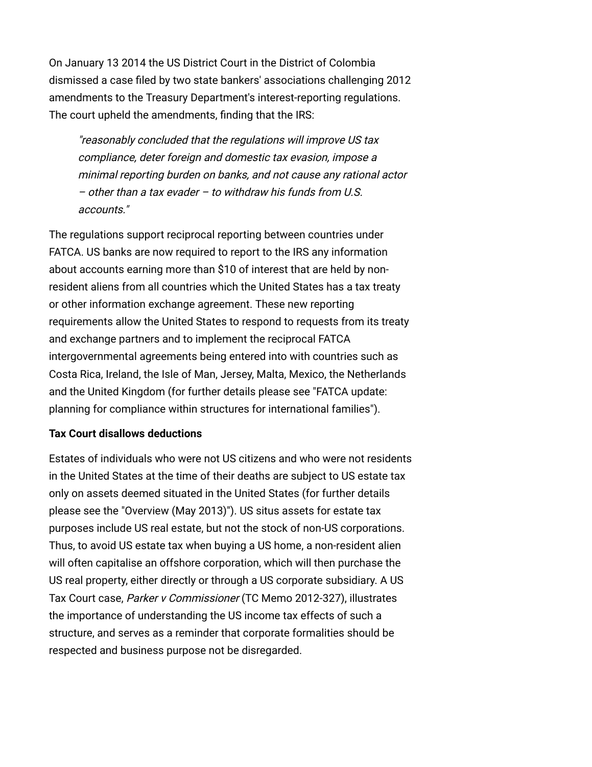On January 13 2014 the US District Court in the District of Colombia dismissed a case filed by two state bankers' associations challenging 2012 amendments to the Treasury Department's interest-reporting regulations. The court upheld the amendments, finding that the IRS:

"reasonably concluded that the regulations will improve US tax compliance, deter foreign and domestic tax evasion, impose a minimal reporting burden on banks, and not cause any rational actor – other than a tax evader – to withdraw his funds from U.S. accounts."

The regulations support reciprocal reporting between countries under FATCA. US banks are now required to report to the IRS any information about accounts earning more than \$10 of interest that are held by nonresident aliens from all countries which the United States has a tax treaty or other information exchange agreement. These new reporting requirements allow the United States to respond to requests from its treaty and exchange partners and to implement the reciprocal FATCA intergovernmental agreements being entered into with countries such as Costa Rica, Ireland, the Isle of Man, Jersey, Malta, Mexico, the Netherlands [and the United Kingdom \(for further details please see "FATCA update:](http://www.internationallawoffice.com/Newsletters/Detail.aspx?g=5cd7e0f8-e0ce-4f3e-b83f-248ec2013e22) planning for compliance within structures for international families").

# <span id="page-1-0"></span>**Tax Court disallows deductions**

Estates of individuals who were not US citizens and who were not residents in the United States at the time of their deaths are subject to US estate tax only on assets deemed situated in the United States (for further details please see the "[Overview \(May 2013\)](http://www.internationallawoffice.com/Newsletters/Detail.aspx?g=54b715ea-8526-402d-801a-4ed58250ed4c)"). US situs assets for estate tax purposes include US real estate, but not the stock of non-US corporations. Thus, to avoid US estate tax when buying a US home, a non-resident alien will often capitalise an offshore corporation, which will then purchase the US real property, either directly or through a US corporate subsidiary. A US Tax Court case, Parker v Commissioner (TC Memo 2012-327), illustrates the importance of understanding the US income tax effects of such a structure, and serves as a reminder that corporate formalities should be respected and business purpose not be disregarded.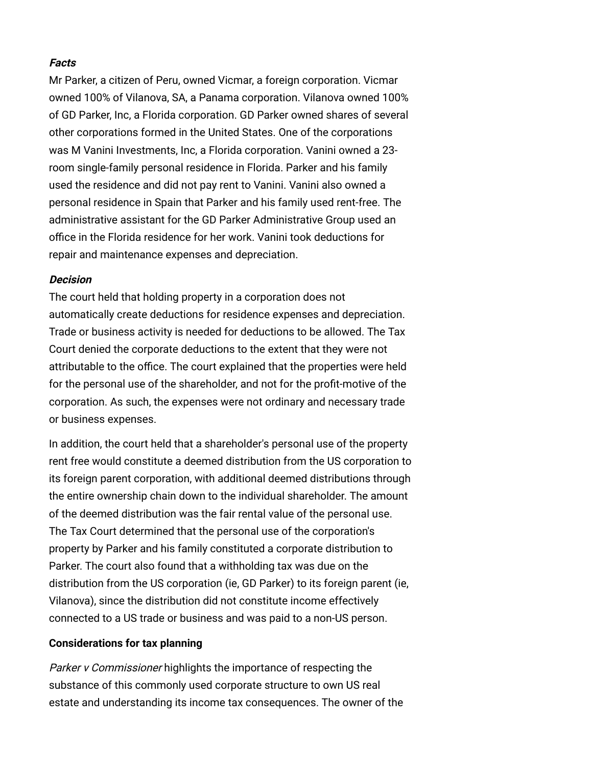### **Facts**

Mr Parker, a citizen of Peru, owned Vicmar, a foreign corporation. Vicmar owned 100% of Vilanova, SA, a Panama corporation. Vilanova owned 100% of GD Parker, Inc, a Florida corporation. GD Parker owned shares of several other corporations formed in the United States. One of the corporations was M Vanini Investments, Inc, a Florida corporation. Vanini owned a 23 room single-family personal residence in Florida. Parker and his family used the residence and did not pay rent to Vanini. Vanini also owned a personal residence in Spain that Parker and his family used rent-free. The administrative assistant for the GD Parker Administrative Group used an office in the Florida residence for her work. Vanini took deductions for repair and maintenance expenses and depreciation.

#### **Decision**

The court held that holding property in a corporation does not automatically create deductions for residence expenses and depreciation. Trade or business activity is needed for deductions to be allowed. The Tax Court denied the corporate deductions to the extent that they were not attributable to the office. The court explained that the properties were held for the personal use of the shareholder, and not for the profit-motive of the corporation. As such, the expenses were not ordinary and necessary trade or business expenses.

In addition, the court held that a shareholder's personal use of the property rent free would constitute a deemed distribution from the US corporation to its foreign parent corporation, with additional deemed distributions through the entire ownership chain down to the individual shareholder. The amount of the deemed distribution was the fair rental value of the personal use. The Tax Court determined that the personal use of the corporation's property by Parker and his family constituted a corporate distribution to Parker. The court also found that a withholding tax was due on the distribution from the US corporation (ie, GD Parker) to its foreign parent (ie, Vilanova), since the distribution did not constitute income effectively connected to a US trade or business and was paid to a non-US person.

#### <span id="page-2-0"></span>**Considerations for tax planning**

Parker v Commissioner highlights the importance of respecting the substance of this commonly used corporate structure to own US real estate and understanding its income tax consequences. The owner of the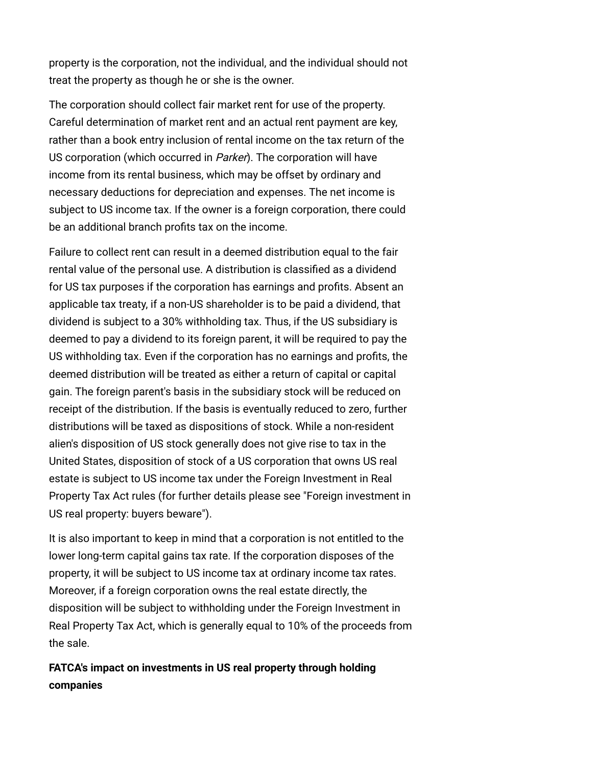property is the corporation, not the individual, and the individual should not treat the property as though he or she is the owner.

The corporation should collect fair market rent for use of the property. Careful determination of market rent and an actual rent payment are key, rather than a book entry inclusion of rental income on the tax return of the US corporation (which occurred in Parker). The corporation will have income from its rental business, which may be offset by ordinary and necessary deductions for depreciation and expenses. The net income is subject to US income tax. If the owner is a foreign corporation, there could be an additional branch profits tax on the income.

Failure to collect rent can result in a deemed distribution equal to the fair rental value of the personal use. A distribution is classified as a dividend for US tax purposes if the corporation has earnings and profits. Absent an applicable tax treaty, if a non-US shareholder is to be paid a dividend, that dividend is subject to a 30% withholding tax. Thus, if the US subsidiary is deemed to pay a dividend to its foreign parent, it will be required to pay the US withholding tax. Even if the corporation has no earnings and profits, the deemed distribution will be treated as either a return of capital or capital gain. The foreign parent's basis in the subsidiary stock will be reduced on receipt of the distribution. If the basis is eventually reduced to zero, further distributions will be taxed as dispositions of stock. While a non-resident alien's disposition of US stock generally does not give rise to tax in the United States, disposition of stock of a US corporation that owns US real estate is subject to US income tax under the Foreign Investment in Real [Property Tax Act rules \(for further details please see "Foreign investment in](http://www.internationallawoffice.com/Newsletters/Detail.aspx?g=58195578-d7e0-4295-b0cd-fcbc09896dc4) US real property: buyers beware").

It is also important to keep in mind that a corporation is not entitled to the lower long-term capital gains tax rate. If the corporation disposes of the property, it will be subject to US income tax at ordinary income tax rates. Moreover, if a foreign corporation owns the real estate directly, the disposition will be subject to withholding under the Foreign Investment in Real Property Tax Act, which is generally equal to 10% of the proceeds from the sale.

<span id="page-3-0"></span>**FATCA's impact on investments in US real property through holding companies**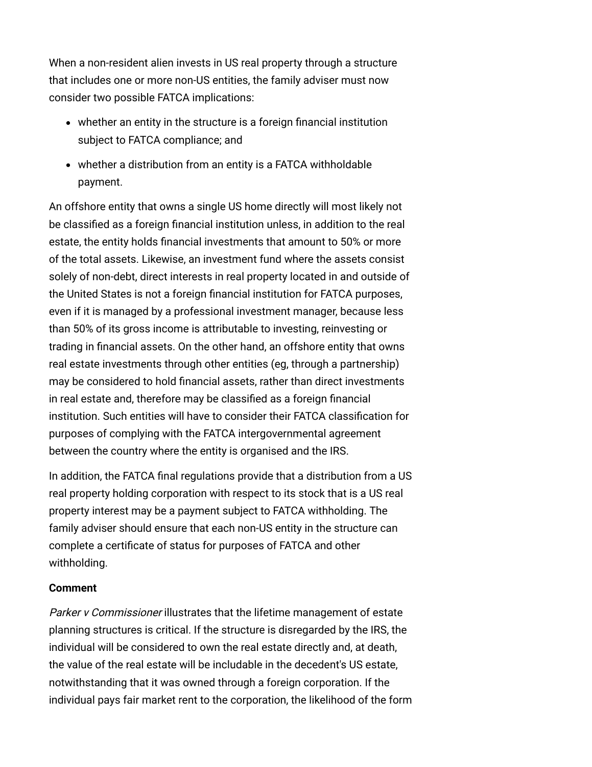When a non-resident alien invests in US real property through a structure that includes one or more non-US entities, the family adviser must now consider two possible FATCA implications:

- whether an entity in the structure is a foreign financial institution subject to FATCA compliance; and
- whether a distribution from an entity is a FATCA withholdable payment.

An offshore entity that owns a single US home directly will most likely not be classified as a foreign financial institution unless, in addition to the real estate, the entity holds financial investments that amount to 50% or more of the total assets. Likewise, an investment fund where the assets consist solely of non-debt, direct interests in real property located in and outside of the United States is not a foreign financial institution for FATCA purposes, even if it is managed by a professional investment manager, because less than 50% of its gross income is attributable to investing, reinvesting or trading in financial assets. On the other hand, an offshore entity that owns real estate investments through other entities (eg, through a partnership) may be considered to hold financial assets, rather than direct investments in real estate and, therefore may be classified as a foreign financial institution. Such entities will have to consider their FATCA classification for purposes of complying with the FATCA intergovernmental agreement between the country where the entity is organised and the IRS.

In addition, the FATCA final regulations provide that a distribution from a US real property holding corporation with respect to its stock that is a US real property interest may be a payment subject to FATCA withholding. The family adviser should ensure that each non-US entity in the structure can complete a certificate of status for purposes of FATCA and other withholding.

#### <span id="page-4-0"></span>**Comment**

Parker v Commissioner illustrates that the lifetime management of estate planning structures is critical. If the structure is disregarded by the IRS, the individual will be considered to own the real estate directly and, at death, the value of the real estate will be includable in the decedent's US estate, notwithstanding that it was owned through a foreign corporation. If the individual pays fair market rent to the corporation, the likelihood of the form